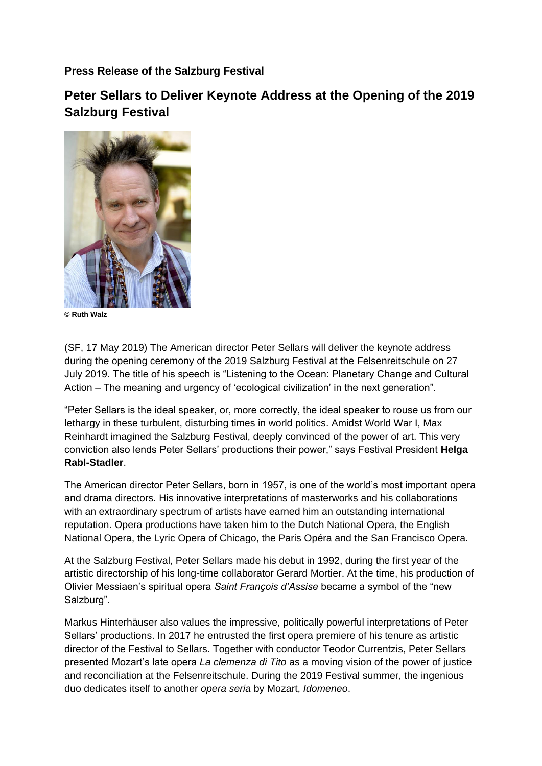**Press Release of the Salzburg Festival**

**Peter Sellars to Deliver Keynote Address at the Opening of the 2019 Salzburg Festival**



**© Ruth Walz**

(SF, 17 May 2019) The American director Peter Sellars will deliver the keynote address during the opening ceremony of the 2019 Salzburg Festival at the Felsenreitschule on 27 July 2019. The title of his speech is "Listening to the Ocean: Planetary Change and Cultural Action – The meaning and urgency of 'ecological civilization' in the next generation".

"Peter Sellars is the ideal speaker, or, more correctly, the ideal speaker to rouse us from our lethargy in these turbulent, disturbing times in world politics. Amidst World War I, Max Reinhardt imagined the Salzburg Festival, deeply convinced of the power of art. This very conviction also lends Peter Sellars' productions their power," says Festival President **Helga Rabl-Stadler**.

The American director Peter Sellars, born in 1957, is one of the world's most important opera and drama directors. His innovative interpretations of masterworks and his collaborations with an extraordinary spectrum of artists have earned him an outstanding international reputation. Opera productions have taken him to the Dutch National Opera, the English National Opera, the Lyric Opera of Chicago, the Paris Opéra and the San Francisco Opera.

At the Salzburg Festival, Peter Sellars made his debut in 1992, during the first year of the artistic directorship of his long-time collaborator Gerard Mortier. At the time, his production of Olivier Messiaen's spiritual opera *Saint François d'Assise* became a symbol of the "new Salzburg".

Markus Hinterhäuser also values the impressive, politically powerful interpretations of Peter Sellars' productions. In 2017 he entrusted the first opera premiere of his tenure as artistic director of the Festival to Sellars. Together with conductor Teodor Currentzis, Peter Sellars presented Mozart's late opera *La clemenza di Tito* as a moving vision of the power of justice and reconciliation at the Felsenreitschule. During the 2019 Festival summer, the ingenious duo dedicates itself to another *opera seria* by Mozart, *Idomeneo*.